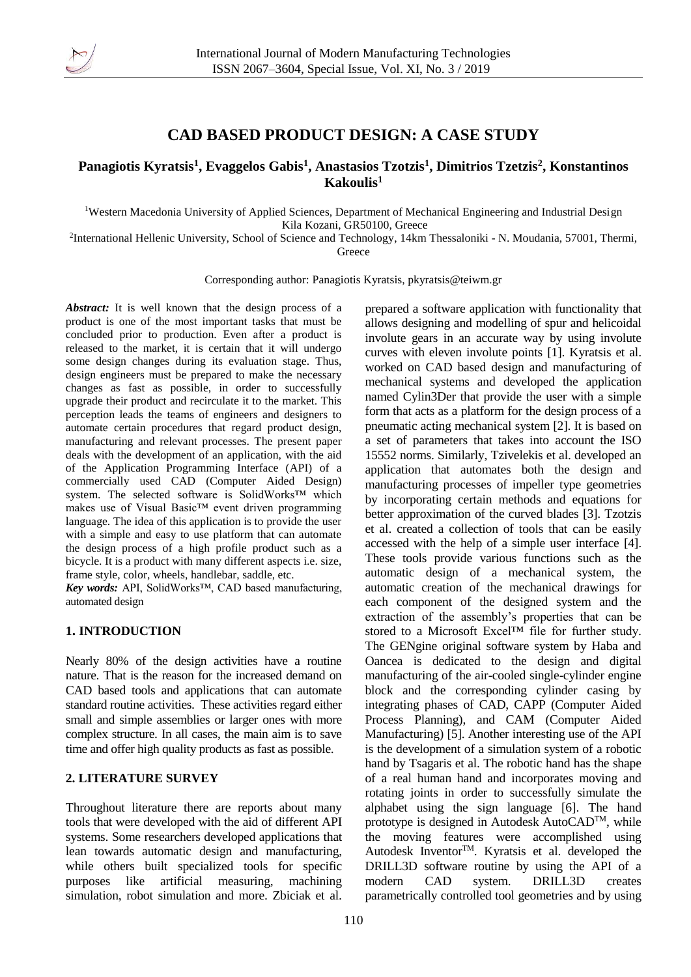

# **CAD BASED PRODUCT DESIGN: A CASE STUDY**

## **Panagiotis Kyratsis<sup>1</sup> , Evaggelos Gabis<sup>1</sup> , Anastasios Tzotzis<sup>1</sup> , Dimitrios Tzetzis<sup>2</sup> , Konstantinos Kakoulis<sup>1</sup>**

<sup>1</sup>Western Macedonia University of Applied Sciences, Department of Mechanical Engineering and Industrial Design Kila Kozani, GR50100, Greece

2 International Hellenic University, School of Science and Technology, 14km Thessaloniki - N. Moudania, 57001, Thermi, Greece

Corresponding author: Panagiotis Kyratsis, pkyratsis@teiwm.gr

*Abstract:* It is well known that the design process of a product is one of the most important tasks that must be concluded prior to production. Even after a product is released to the market, it is certain that it will undergo some design changes during its evaluation stage. Thus, design engineers must be prepared to make the necessary changes as fast as possible, in order to successfully upgrade their product and recirculate it to the market. This perception leads the teams of engineers and designers to automate certain procedures that regard product design, manufacturing and relevant processes. The present paper deals with the development of an application, with the aid of the Application Programming Interface (API) of a commercially used CAD (Computer Aided Design) system. The selected software is SolidWorks™ which makes use of Visual Basic™ event driven programming language. The idea of this application is to provide the user with a simple and easy to use platform that can automate the design process of a high profile product such as a bicycle. It is a product with many different aspects i.e. size, frame style, color, wheels, handlebar, saddle, etc.

*Key words:* API, SolidWorks™, CAD based manufacturing, automated design

## **1. INTRODUCTION**

Nearly 80% of the design activities have a routine nature. That is the reason for the increased demand on CAD based tools and applications that can automate standard routine activities. These activities regard either small and simple assemblies or larger ones with more complex structure. In all cases, the main aim is to save time and offer high quality products as fast as possible.

## **2. LITERATURE SURVEY**

Throughout literature there are reports about many tools that were developed with the aid of different API systems. Some researchers developed applications that lean towards automatic design and manufacturing, while others built specialized tools for specific purposes like artificial measuring, machining simulation, robot simulation and more. Zbiciak et al.

prepared a software application with functionality that allows designing and modelling of spur and helicoidal involute gears in an accurate way by using involute curves with eleven involute points [1]. Kyratsis et al. worked on CAD based design and manufacturing of mechanical systems and developed the application named Cylin3Der that provide the user with a simple form that acts as a platform for the design process of a pneumatic acting mechanical system [2]. It is based on a set of parameters that takes into account the ISO 15552 norms. Similarly, Tzivelekis et al. developed an application that automates both the design and manufacturing processes of impeller type geometries by incorporating certain methods and equations for better approximation of the curved blades [3]. Tzotzis et al. created a collection of tools that can be easily accessed with the help of a simple user interface [4]. These tools provide various functions such as the automatic design of a mechanical system, the automatic creation of the mechanical drawings for each component of the designed system and the extraction of the assembly's properties that can be stored to a Microsoft Excel™ file for further study. The GENgine original software system by Haba and Oancea is dedicated to the design and digital manufacturing of the air-cooled single-cylinder engine block and the corresponding cylinder casing by integrating phases of CAD, CAPP (Computer Aided Process Planning), and CAM (Computer Aided Manufacturing) [5]. Another interesting use of the API is the development of a simulation system of a robotic hand by Tsagaris et al. The robotic hand has the shape of a real human hand and incorporates moving and rotating joints in order to successfully simulate the alphabet using the sign language [6]. The hand prototype is designed in Autodesk AutoCAD<sup>TM</sup>, while the moving features were accomplished using Autodesk Inventor™. Kyratsis et al. developed the DRILL3D software routine by using the API of a modern CAD system. DRILL3D creates parametrically controlled tool geometries and by using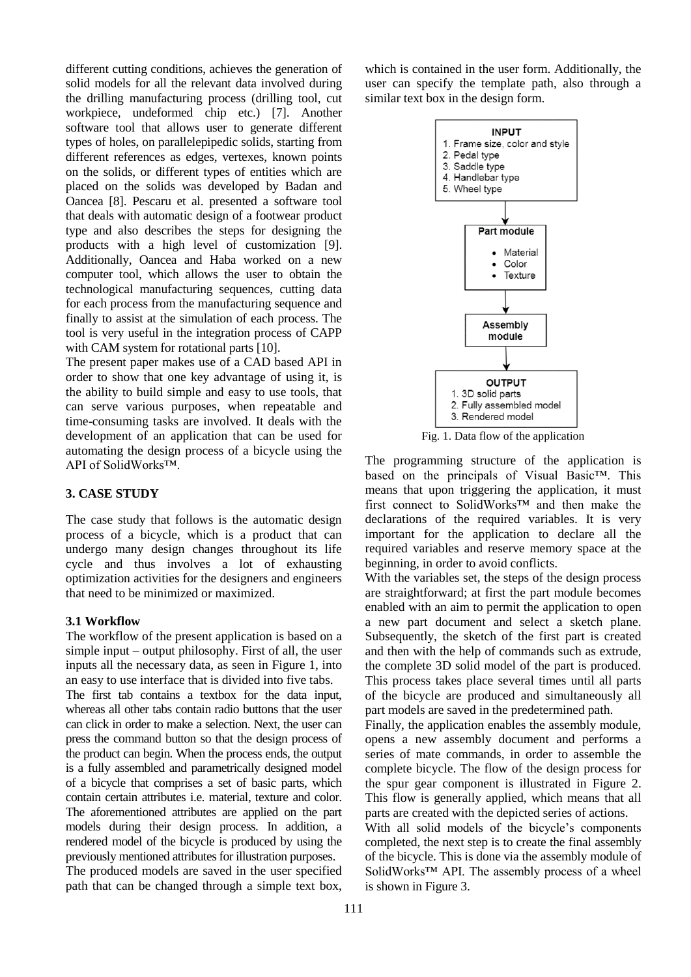different cutting conditions, achieves the generation of solid models for all the relevant data involved during the drilling manufacturing process (drilling tool, cut workpiece, undeformed chip etc.) [7]. Another software tool that allows user to generate different types of holes, on parallelepipedic solids, starting from different references as edges, vertexes, known points on the solids, or different types of entities which are placed on the solids was developed by Badan and Oancea [8]. Pescaru et al. presented a software tool that deals with automatic design of a footwear product type and also describes the steps for designing the products with a high level of customization [9]. Additionally, Oancea and Haba worked on a new computer tool, which allows the user to obtain the technological manufacturing sequences, cutting data for each process from the manufacturing sequence and finally to assist at the simulation of each process. The tool is very useful in the integration process of CAPP with CAM system for rotational parts [10].

The present paper makes use of a CAD based API in order to show that one key advantage of using it, is the ability to build simple and easy to use tools, that can serve various purposes, when repeatable and time-consuming tasks are involved. It deals with the development of an application that can be used for automating the design process of a bicycle using the API of SolidWorks™.

#### **3. CASE STUDY**

The case study that follows is the automatic design process of a bicycle, which is a product that can undergo many design changes throughout its life cycle and thus involves a lot of exhausting optimization activities for the designers and engineers that need to be minimized or maximized.

#### **3.1 Workflow**

The workflow of the present application is based on a simple input – output philosophy. First of all, the user inputs all the necessary data, as seen in Figure 1, into an easy to use interface that is divided into five tabs. The first tab contains a textbox for the data input, whereas all other tabs contain radio buttons that the user can click in order to make a selection. Next, the user can press the command button so that the design process of the product can begin. When the process ends, the output is a fully assembled and parametrically designed model of a bicycle that comprises a set of basic parts, which contain certain attributes i.e. material, texture and color. The aforementioned attributes are applied on the part models during their design process. In addition, a

rendered model of the bicycle is produced by using the previously mentioned attributes for illustration purposes. The produced models are saved in the user specified path that can be changed through a simple text box,

which is contained in the user form. Additionally, the user can specify the template path, also through a similar text box in the design form.



Fig. 1. Data flow of the application

The programming structure of the application is based on the principals of Visual Basic™. This means that upon triggering the application, it must first connect to SolidWorks™ and then make the declarations of the required variables. It is very important for the application to declare all the required variables and reserve memory space at the beginning, in order to avoid conflicts.

With the variables set, the steps of the design process are straightforward; at first the part module becomes enabled with an aim to permit the application to open a new part document and select a sketch plane. Subsequently, the sketch of the first part is created and then with the help of commands such as extrude, the complete 3D solid model of the part is produced. This process takes place several times until all parts of the bicycle are produced and simultaneously all part models are saved in the predetermined path.

Finally, the application enables the assembly module, opens a new assembly document and performs a series of mate commands, in order to assemble the complete bicycle. The flow of the design process for the spur gear component is illustrated in Figure 2. This flow is generally applied, which means that all parts are created with the depicted series of actions.

With all solid models of the bicycle's components completed, the next step is to create the final assembly of the bicycle. This is done via the assembly module of SolidWorks™ API. The assembly process of a wheel is shown in Figure 3.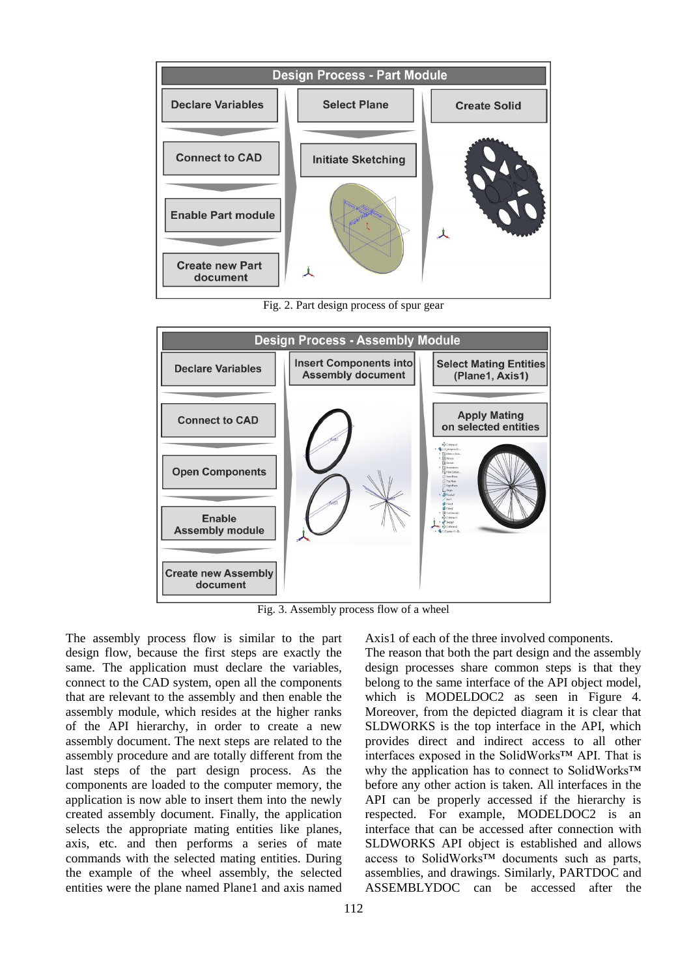

Fig. 2. Part design process of spur gear



Fig. 3. Assembly process flow of a wheel

The assembly process flow is similar to the part design flow, because the first steps are exactly the same. The application must declare the variables, connect to the CAD system, open all the components that are relevant to the assembly and then enable the assembly module, which resides at the higher ranks of the API hierarchy, in order to create a new assembly document. The next steps are related to the assembly procedure and are totally different from the last steps of the part design process. As the components are loaded to the computer memory, the application is now able to insert them into the newly created assembly document. Finally, the application selects the appropriate mating entities like planes, axis, etc. and then performs a series of mate commands with the selected mating entities. During the example of the wheel assembly, the selected entities were the plane named Plane1 and axis named Axis1 of each of the three involved components.

The reason that both the part design and the assembly design processes share common steps is that they belong to the same interface of the API object model, which is MODELDOC2 as seen in Figure 4. Moreover, from the depicted diagram it is clear that SLDWORKS is the top interface in the API, which provides direct and indirect access to all other interfaces exposed in the SolidWorks™ API. That is why the application has to connect to SolidWorks™ before any other action is taken. All interfaces in the API can be properly accessed if the hierarchy is respected. For example, MODELDOC2 is an interface that can be accessed after connection with SLDWORKS API object is established and allows access to SolidWorks™ documents such as parts, assemblies, and drawings. Similarly, PARTDOC and ASSEMBLYDOC can be accessed after the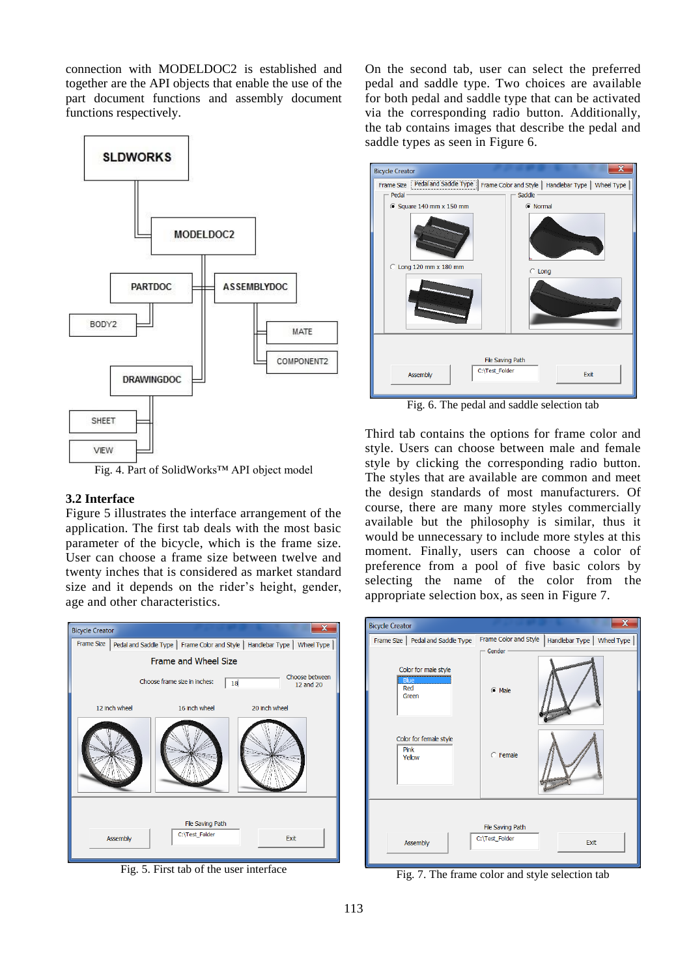connection with MODELDOC2 is established and together are the API objects that enable the use of the part document functions and assembly document functions respectively.



Fig. 4. Part of SolidWorks™ API object model

## **3.2 Interface**

Figure 5 illustrates the interface arrangement of the application. The first tab deals with the most basic parameter of the bicycle, which is the frame size. User can choose a frame size between twelve and twenty inches that is considered as market standard size and it depends on the rider's height, gender, age and other characteristics.



Fig. 5. First tab of the user interface

On the second tab, user can select the preferred pedal and saddle type. Two choices are available for both pedal and saddle type that can be activated via the corresponding radio button. Additionally, the tab contains images that describe the pedal and saddle types as seen in Figure 6.



Fig. 6. The pedal and saddle selection tab

Third tab contains the options for frame color and style. Users can choose between male and female style by clicking the corresponding radio button. The styles that are available are common and meet the design standards of most manufacturers. Of course, there are many more styles commercially available but the philosophy is similar, thus it would be unnecessary to include more styles at this moment. Finally, users can choose a color of preference from a pool of five basic colors by selecting the name of the color from the appropriate selection box, as seen in Figure 7.



Fig. 7. The frame color and style selection tab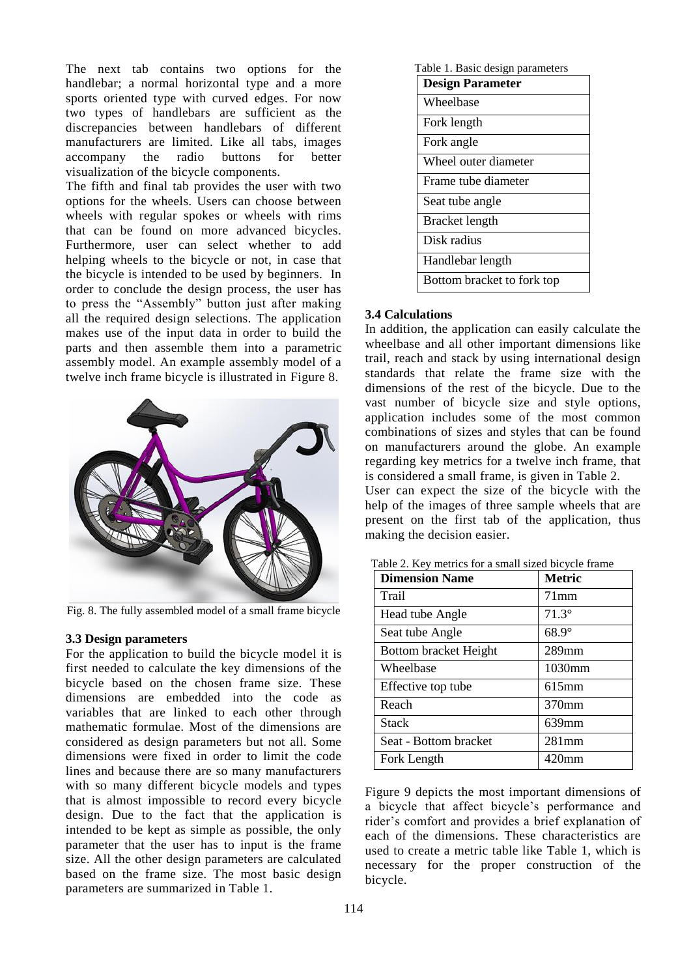The next tab contains two options for the handlebar; a normal horizontal type and a more sports oriented type with curved edges. For now two types of handlebars are sufficient as the discrepancies between handlebars of different manufacturers are limited. Like all tabs, images<br>accompany the radio buttons for better accompany the radio buttons for better visualization of the bicycle components.

The fifth and final tab provides the user with two options for the wheels. Users can choose between wheels with regular spokes or wheels with rims that can be found on more advanced bicycles. Furthermore, user can select whether to add helping wheels to the bicycle or not, in case that the bicycle is intended to be used by beginners. In order to conclude the design process, the user has to press the "Assembly" button just after making all the required design selections. The application makes use of the input data in order to build the parts and then assemble them into a parametric assembly model. An example assembly model of a twelve inch frame bicycle is illustrated in Figure 8.



Fig. 8. The fully assembled model of a small frame bicycle

#### **3.3 Design parameters**

For the application to build the bicycle model it is first needed to calculate the key dimensions of the bicycle based on the chosen frame size. These dimensions are embedded into the code as variables that are linked to each other through mathematic formulae. Most of the dimensions are considered as design parameters but not all. Some dimensions were fixed in order to limit the code lines and because there are so many manufacturers with so many different bicycle models and types that is almost impossible to record every bicycle design. Due to the fact that the application is intended to be kept as simple as possible, the only parameter that the user has to input is the frame size. All the other design parameters are calculated based on the frame size. The most basic design parameters are summarized in Table 1.

| Table 1. Basic design parameters |  |
|----------------------------------|--|
| <b>Design Parameter</b>          |  |
| Wheelbase                        |  |
| Fork length                      |  |
| Fork angle                       |  |
| Wheel outer diameter             |  |
| Frame tube diameter              |  |
| Seat tube angle                  |  |
| Bracket length                   |  |
| Disk radius                      |  |
| Handlebar length                 |  |
| Bottom bracket to fork top       |  |

#### **3.4 Calculations**

In addition, the application can easily calculate the wheelbase and all other important dimensions like trail, reach and stack by using international design standards that relate the frame size with the dimensions of the rest of the bicycle. Due to the vast number of bicycle size and style options, application includes some of the most common combinations of sizes and styles that can be found on manufacturers around the globe. An example regarding key metrics for a twelve inch frame, that is considered a small frame, is given in Table 2. User can expect the size of the bicycle with the help of the images of three sample wheels that are present on the first tab of the application, thus making the decision easier.

| <b>Dimension Name</b> | <b>Metric</b> |
|-----------------------|---------------|
| Trail                 | $71$ mm       |
| Head tube Angle       | $71.3^\circ$  |
| Seat tube Angle       | $68.9^\circ$  |
| Bottom bracket Height | $289$ mm      |
| Wheelbase             | 1030mm        |
| Effective top tube    | $615$ mm      |
| Reach                 | 370mm         |
| Stack                 | $639$ mm      |
| Seat - Bottom bracket | $281$ mm      |
| Fork Length           | $420$ mm      |

Table 2. Key metrics for a small sized bicycle frame

Figure 9 depicts the most important dimensions of a bicycle that affect bicycle's performance and rider's comfort and provides a brief explanation of each of the dimensions. These characteristics are used to create a metric table like Table 1, which is necessary for the proper construction of the bicycle.